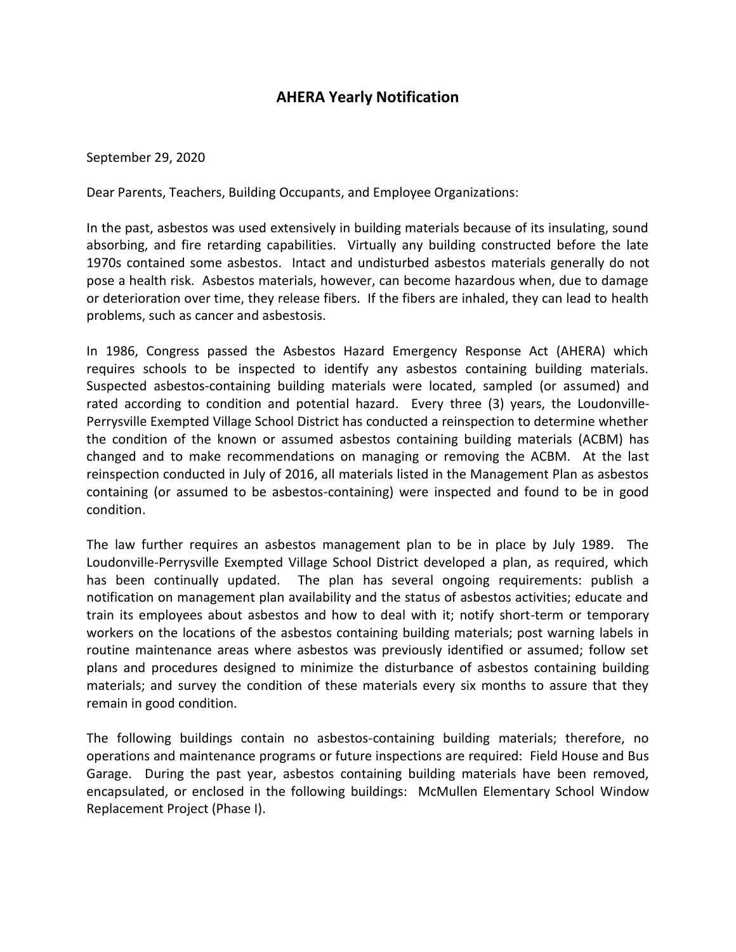## **AHERA Yearly Notification**

## September 29, 2020

Dear Parents, Teachers, Building Occupants, and Employee Organizations:

In the past, asbestos was used extensively in building materials because of its insulating, sound absorbing, and fire retarding capabilities. Virtually any building constructed before the late 1970s contained some asbestos. Intact and undisturbed asbestos materials generally do not pose a health risk. Asbestos materials, however, can become hazardous when, due to damage or deterioration over time, they release fibers. If the fibers are inhaled, they can lead to health problems, such as cancer and asbestosis.

In 1986, Congress passed the Asbestos Hazard Emergency Response Act (AHERA) which requires schools to be inspected to identify any asbestos containing building materials. Suspected asbestos-containing building materials were located, sampled (or assumed) and rated according to condition and potential hazard. Every three (3) years, the Loudonville-Perrysville Exempted Village School District has conducted a reinspection to determine whether the condition of the known or assumed asbestos containing building materials (ACBM) has changed and to make recommendations on managing or removing the ACBM. At the last reinspection conducted in July of 2016, all materials listed in the Management Plan as asbestos containing (or assumed to be asbestos-containing) were inspected and found to be in good condition.

The law further requires an asbestos management plan to be in place by July 1989. The Loudonville-Perrysville Exempted Village School District developed a plan, as required, which has been continually updated. The plan has several ongoing requirements: publish a notification on management plan availability and the status of asbestos activities; educate and train its employees about asbestos and how to deal with it; notify short-term or temporary workers on the locations of the asbestos containing building materials; post warning labels in routine maintenance areas where asbestos was previously identified or assumed; follow set plans and procedures designed to minimize the disturbance of asbestos containing building materials; and survey the condition of these materials every six months to assure that they remain in good condition.

The following buildings contain no asbestos-containing building materials; therefore, no operations and maintenance programs or future inspections are required: Field House and Bus Garage. During the past year, asbestos containing building materials have been removed, encapsulated, or enclosed in the following buildings: McMullen Elementary School Window Replacement Project (Phase I).